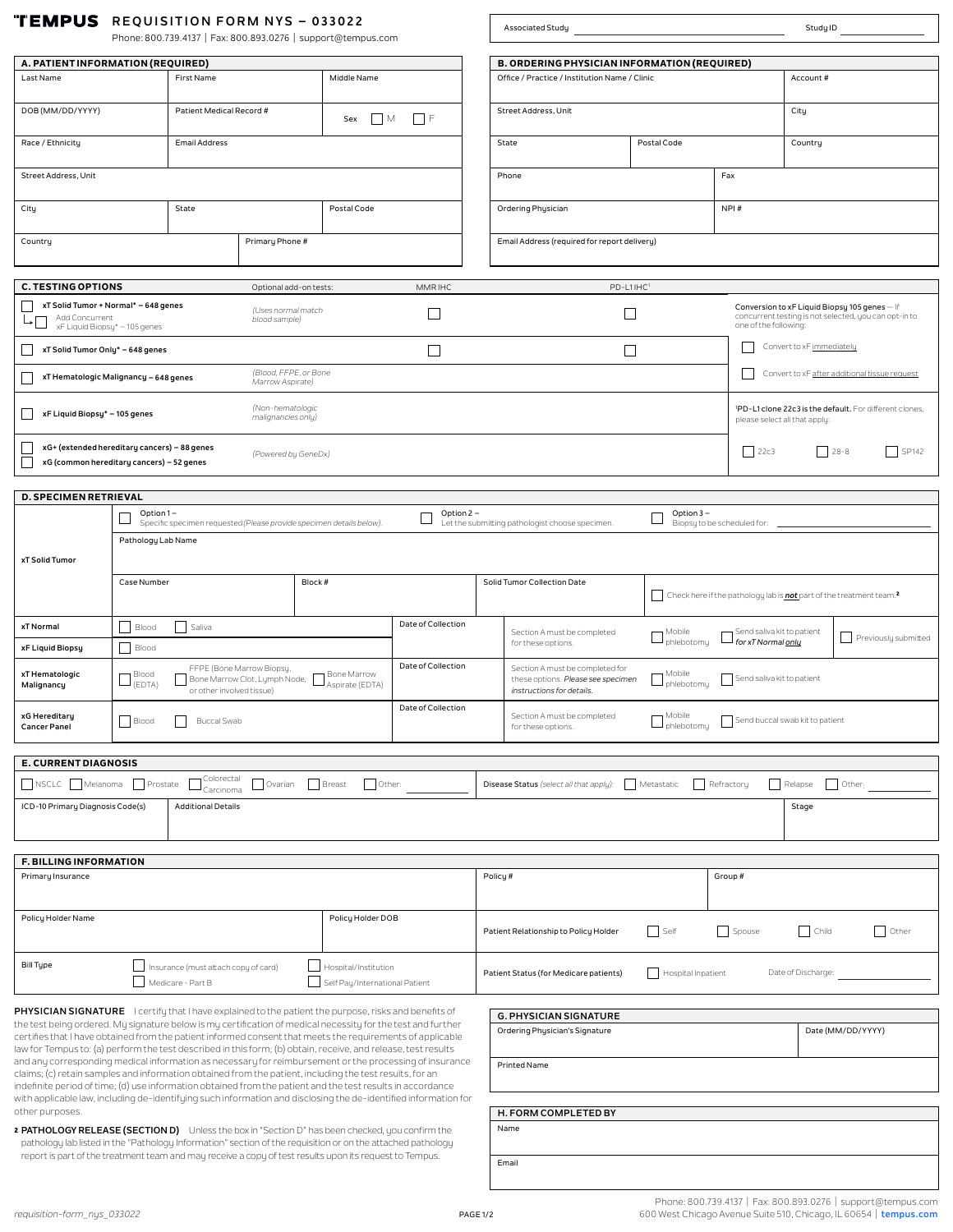|  | <b>TEMPUS</b> REQUISITION FORM NYS - 033022 |  |
|--|---------------------------------------------|--|
|--|---------------------------------------------|--|

| <b>TEMPUS</b> REQUISITION FORM NYS - 033022<br>Phone: 800.739.4137   Fax: 800.893.0276   support@tempus.com                                                                                                                                                                                                                        |                        |                                                           |                                                            | Associated Study<br>Study ID                                         |                                               |                                                                                                              |                                                                                                                                                            |                        |                                                                                                             |                           |                                               |
|------------------------------------------------------------------------------------------------------------------------------------------------------------------------------------------------------------------------------------------------------------------------------------------------------------------------------------|------------------------|-----------------------------------------------------------|------------------------------------------------------------|----------------------------------------------------------------------|-----------------------------------------------|--------------------------------------------------------------------------------------------------------------|------------------------------------------------------------------------------------------------------------------------------------------------------------|------------------------|-------------------------------------------------------------------------------------------------------------|---------------------------|-----------------------------------------------|
|                                                                                                                                                                                                                                                                                                                                    |                        |                                                           |                                                            |                                                                      |                                               |                                                                                                              |                                                                                                                                                            |                        |                                                                                                             |                           |                                               |
| A. PATIENT INFORMATION (REQUIRED)                                                                                                                                                                                                                                                                                                  |                        |                                                           |                                                            |                                                                      |                                               |                                                                                                              | <b>B. ORDERING PHYSICIAN INFORMATION (REQUIRED)</b>                                                                                                        |                        |                                                                                                             |                           |                                               |
| Last Name<br>First Name                                                                                                                                                                                                                                                                                                            |                        | Middle Name                                               |                                                            |                                                                      | Office / Practice / Institution Name / Clinic | Account#                                                                                                     |                                                                                                                                                            |                        |                                                                                                             |                           |                                               |
| DOB (MM/DD/YYYY)<br>Patient Medical Record #                                                                                                                                                                                                                                                                                       |                        | $\Box$ M<br>Sex                                           | $ $ $ $ $ $ $ $                                            |                                                                      | Street Address, Unit                          |                                                                                                              |                                                                                                                                                            | City                   |                                                                                                             |                           |                                               |
| Race / Ethnicity                                                                                                                                                                                                                                                                                                                   |                        | <b>Email Address</b>                                      |                                                            |                                                                      |                                               |                                                                                                              | State<br>Postal Code                                                                                                                                       |                        | Country                                                                                                     |                           |                                               |
| Street Address, Unit                                                                                                                                                                                                                                                                                                               |                        |                                                           |                                                            |                                                                      |                                               |                                                                                                              | Phone                                                                                                                                                      | Fax                    |                                                                                                             |                           |                                               |
| City                                                                                                                                                                                                                                                                                                                               |                        | State                                                     |                                                            | Postal Code                                                          |                                               |                                                                                                              | Ordering Physician                                                                                                                                         |                        | NPI#                                                                                                        |                           |                                               |
| Country                                                                                                                                                                                                                                                                                                                            |                        |                                                           | Primary Phone #                                            |                                                                      |                                               |                                                                                                              | Email Address (required for report delivery)                                                                                                               |                        |                                                                                                             |                           |                                               |
|                                                                                                                                                                                                                                                                                                                                    |                        |                                                           |                                                            |                                                                      |                                               |                                                                                                              |                                                                                                                                                            |                        |                                                                                                             |                           |                                               |
| <b>C. TESTING OPTIONS</b>                                                                                                                                                                                                                                                                                                          |                        |                                                           | Optional add-on tests:                                     |                                                                      | <b>MMRIHC</b>                                 |                                                                                                              | PD-L1IHC1                                                                                                                                                  |                        |                                                                                                             |                           |                                               |
| xT Solid Tumor + Normal* - 648 genes<br>Add Concurrent<br>xF Liquid Biopsy* - 105 genes                                                                                                                                                                                                                                            |                        |                                                           | (Uses normal match<br>blood sample)                        |                                                                      | $\Box$<br>one of the following:               |                                                                                                              |                                                                                                                                                            |                        | Conversion to xF Liquid Biopsy 105 genes - If<br>concurrent testing is not selected, you can opt-in to      |                           |                                               |
| xT Solid Tumor Only* - 648 genes                                                                                                                                                                                                                                                                                                   |                        |                                                           |                                                            |                                                                      | $\Box$                                        |                                                                                                              | $\Box$                                                                                                                                                     |                        |                                                                                                             | Convert to xF immediately |                                               |
| xT Hematologic Malignancy - 648 genes                                                                                                                                                                                                                                                                                              |                        |                                                           | (Blood, FFPE, or Bone<br>Marrow Aspirate)                  |                                                                      |                                               |                                                                                                              |                                                                                                                                                            |                        |                                                                                                             |                           | Convert to xF after additional tissue request |
| (Non-hematologic<br>'PD-L1 clone 22c3 is the default. For different clones,<br>xF Liquid Biopsy* - 105 genes<br>malignancies only)<br>please select all that apply:                                                                                                                                                                |                        |                                                           |                                                            |                                                                      |                                               |                                                                                                              |                                                                                                                                                            |                        |                                                                                                             |                           |                                               |
| xG+ (extended hereditary cancers) - 88 genes<br>$\begin{array}{c c} \hline \end{array}$ 22c3<br>$ $ 28-8<br>(Powered by GeneDx)<br>Г<br>xG (common hereditary cancers) - 52 genes                                                                                                                                                  |                        |                                                           |                                                            |                                                                      | SP142                                         |                                                                                                              |                                                                                                                                                            |                        |                                                                                                             |                           |                                               |
|                                                                                                                                                                                                                                                                                                                                    |                        |                                                           |                                                            |                                                                      |                                               |                                                                                                              |                                                                                                                                                            |                        |                                                                                                             |                           |                                               |
| <b>D. SPECIMEN RETRIEVAL</b>                                                                                                                                                                                                                                                                                                       |                        |                                                           |                                                            |                                                                      |                                               |                                                                                                              |                                                                                                                                                            |                        |                                                                                                             |                           |                                               |
|                                                                                                                                                                                                                                                                                                                                    | Option 1-              |                                                           |                                                            | Specific specimen requested (Please provide specimen details below). | Option 2 -                                    |                                                                                                              | Let the submitting pathologist choose specimen.                                                                                                            | Option $3 -$           | Biopsy to be scheduled for: __                                                                              |                           |                                               |
|                                                                                                                                                                                                                                                                                                                                    | Pathology Lab Name     |                                                           |                                                            |                                                                      |                                               |                                                                                                              |                                                                                                                                                            |                        |                                                                                                             |                           |                                               |
| xT Solid Tumor                                                                                                                                                                                                                                                                                                                     |                        |                                                           |                                                            |                                                                      |                                               |                                                                                                              |                                                                                                                                                            |                        |                                                                                                             |                           |                                               |
|                                                                                                                                                                                                                                                                                                                                    | Case Number            |                                                           |                                                            | Block #                                                              |                                               |                                                                                                              | Solid Tumor Collection Date                                                                                                                                |                        |                                                                                                             |                           |                                               |
|                                                                                                                                                                                                                                                                                                                                    |                        |                                                           |                                                            |                                                                      |                                               |                                                                                                              |                                                                                                                                                            |                        | $\vert\,\,\,\,\vert$ Check here if the pathology lab is <b>not</b> part of the treatment team. <sup>2</sup> |                           |                                               |
| xT Normal                                                                                                                                                                                                                                                                                                                          | Blood                  | Saliva                                                    |                                                            |                                                                      | Date of Collection                            |                                                                                                              | Section A must be completed<br>for these options.                                                                                                          | Mobile<br>phlebotomy – | Send saliva kit to patient<br>→ for xT Normal <u>onlu</u>                                                   |                           | Previously submitted                          |
| xF Liquid Biopsy                                                                                                                                                                                                                                                                                                                   | Blood                  |                                                           |                                                            |                                                                      | Date of Collection                            |                                                                                                              |                                                                                                                                                            |                        |                                                                                                             |                           |                                               |
| xT Hematologic<br>Malignancy                                                                                                                                                                                                                                                                                                       | Blood<br>$\Box$ (EDTA) | or other involved tissue)                                 | FFPE (Bone Marrow Biopsy,<br>Bone Marrow Clot, Lymph Node, | Bone Marrow<br>Aspirate (EDTA)                                       |                                               |                                                                                                              | Section A must be completed for<br>Mobile<br>Send saliva kit to patient<br>these options. Please see specimen<br>phlebotomy –<br>instructions for details. |                        |                                                                                                             |                           |                                               |
| xG Hereditary<br><b>Cancer Panel</b>                                                                                                                                                                                                                                                                                               | Blood                  | <b>Buccal Swab</b>                                        |                                                            |                                                                      | Date of Collection                            | Mobile<br>Section A must be completed<br>Send buccal swab kit to patient<br>phlebotomu<br>for these options. |                                                                                                                                                            |                        |                                                                                                             |                           |                                               |
|                                                                                                                                                                                                                                                                                                                                    |                        |                                                           |                                                            |                                                                      |                                               |                                                                                                              |                                                                                                                                                            |                        |                                                                                                             |                           |                                               |
| <b>E. CURRENT DIAGNOSIS</b>                                                                                                                                                                                                                                                                                                        |                        | Colorectal                                                |                                                            |                                                                      |                                               |                                                                                                              |                                                                                                                                                            |                        |                                                                                                             |                           |                                               |
| NSCLC Melanoma                                                                                                                                                                                                                                                                                                                     | Prostate               | Carcinoma                                                 |                                                            | Ovarian Breast<br>Other:                                             |                                               |                                                                                                              | Disease Status (select all that apply):   Metastatic                                                                                                       |                        | Refractory                                                                                                  | Relapse                   | $\Box$ Other                                  |
| ICD-10 Primary Diagnosis Code(s)                                                                                                                                                                                                                                                                                                   |                        | <b>Additional Details</b>                                 |                                                            |                                                                      |                                               |                                                                                                              |                                                                                                                                                            |                        |                                                                                                             | Stage                     |                                               |
|                                                                                                                                                                                                                                                                                                                                    |                        |                                                           |                                                            |                                                                      |                                               |                                                                                                              |                                                                                                                                                            |                        |                                                                                                             |                           |                                               |
|                                                                                                                                                                                                                                                                                                                                    |                        |                                                           |                                                            |                                                                      |                                               |                                                                                                              |                                                                                                                                                            |                        |                                                                                                             |                           |                                               |
| F. BILLING INFORMATION                                                                                                                                                                                                                                                                                                             |                        |                                                           |                                                            |                                                                      |                                               |                                                                                                              |                                                                                                                                                            |                        |                                                                                                             |                           |                                               |
| Primary Insurance                                                                                                                                                                                                                                                                                                                  |                        |                                                           |                                                            |                                                                      |                                               |                                                                                                              | Policy#                                                                                                                                                    |                        | Group#                                                                                                      |                           |                                               |
| Policy Holder Name                                                                                                                                                                                                                                                                                                                 |                        |                                                           |                                                            | Policy Holder DOB                                                    |                                               |                                                                                                              | Patient Relationship to Policy Holder                                                                                                                      | Self                   | Spouse                                                                                                      | $\vert$ $\vert$ Child     | Other                                         |
| <b>Bill Type</b>                                                                                                                                                                                                                                                                                                                   |                        | Insurance (must attach copy of card)<br>Medicare - Part B |                                                            | Hospital/Institution<br>Self Pay/International Patient               |                                               |                                                                                                              | Patient Status (for Medicare patients)                                                                                                                     | Hospital Inpatient     |                                                                                                             | Date of Discharge:        |                                               |
|                                                                                                                                                                                                                                                                                                                                    |                        |                                                           |                                                            |                                                                      |                                               |                                                                                                              |                                                                                                                                                            |                        |                                                                                                             |                           |                                               |
| PHYSICIAN SIGNATURE leertify that I have explained to the patient the purpose, risks and benefits of<br>the test being ordered. My signature below is my certification of medical necessity for the test and further                                                                                                               |                        |                                                           |                                                            |                                                                      |                                               |                                                                                                              | <b>G. PHYSICIAN SIGNATURE</b>                                                                                                                              |                        |                                                                                                             |                           |                                               |
| certifies that I have obtained from the patient informed consent that meets the requirements of applicable<br>law for Tempus to: (a) perform the test described in this form; (b) obtain, receive, and release, test results                                                                                                       |                        |                                                           |                                                            |                                                                      |                                               |                                                                                                              | Ordering Physician's Signature                                                                                                                             |                        |                                                                                                             |                           | Date (MM/DD/YYYY)                             |
| and any corresponding medical information as necessary for reimbursement or the processing of insurance<br>claims; (c) retain samples and information obtained from the patient, including the test results, for an<br>indefinite period of time; (d) use information obtained from the patient and the test results in accordance |                        |                                                           |                                                            |                                                                      |                                               |                                                                                                              | Printed Name                                                                                                                                               |                        |                                                                                                             |                           |                                               |

other purposes. 2 **PATHOLOGY RELEASE (SECTION D)** Unless the box in "Section D" has been checked, you confirm the pathology lab listed in the "Pathology Information" section of the requisition or on the attached pathology report is part of the treatment team and may receive a copy of test results upon its request to Tempus.

with applicable law, including de-identifying such information and disclosing the de-identified information for

Email Name **H. FORM COMPLETED BY**

 $\mathbf{I}$